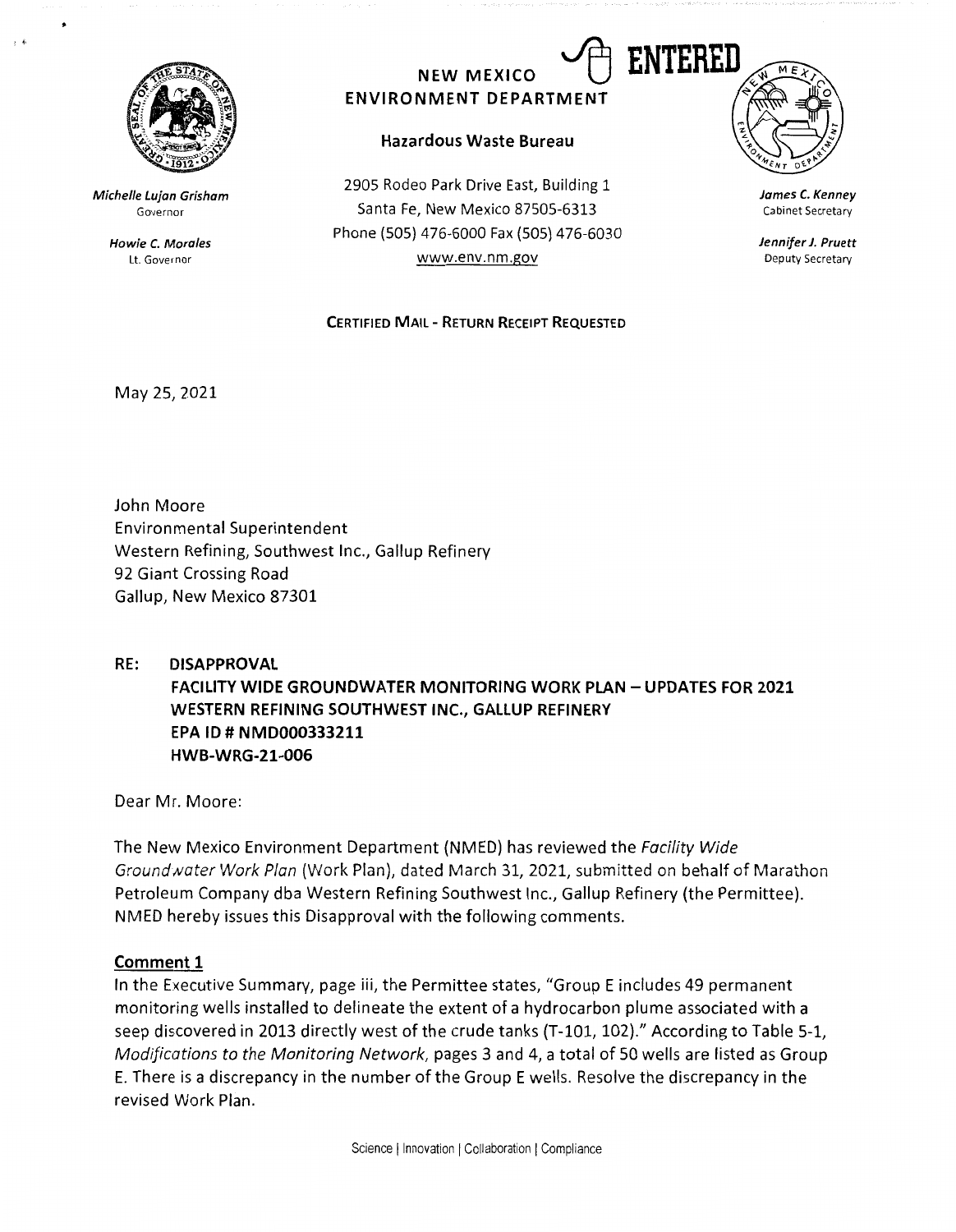

**Michelle Lujan Grisham**  Governor

> **Howie C. Morales**  Lt. Governor

# **NEW MEXICO ENVIRONMENT DEPARTMENT**

## **Hazardous Waste Bureau**

2905 Rodeo Park Drive East, Building 1 Santa Fe, New Mexico 87505-6313 Phone (SOS) 476-6000 Fax (SOS) 476-6030 www.env.nm.gov

#### **CERTIFIED MAIL- RETURN RECEIPT REQUESTED**



**James C. Kenney**  Cabinet Secretary

**Jennifer J. Pruett**  Deputy Secretary

May 25, 2021

John Moore Environmental Superintendent Western Refining, Southwest Inc., Gallup Refinery 92 Giant Crossing Road Gallup, New Mexico 87301

# **RE: DISAPPROVAL FACILITY WIDE GROUNDWATER MONITORING WORK PLAN - UPDATES FOR 2021 WESTERN REFINING SOUTHWEST INC., GALLUP REFINERY EPA ID# NMD000333211 HWB-WRG-21-006**

Dear Mr. Moore:

The New Mexico Environment Department (NMED) has reviewed the *Facility Wide Ground water Work Plan (Work Plan), dated March 31, 2021, submitted on behalf of Marathon* Petroleum Company dba Western Refining Southwest Inc., Gallup Refinery (the Permittee). NMED hereby issues this Disapproval with the following comments.

#### **Comment 1**

In the Executive Summary, page iii, the Permittee states, "Group E includes 49 permanent monitoring wells installed to delineate the extent of a hydrocarbon plume associated with a seep discovered in 2013 directly west of the crude tanks (T-101, 102)." According to Table 5-1, *Modifications to the Monitoring Network,* pages 3 and 4, a total of 50 wells are listed as Group E. There is a discrepancy in the number of the Group E wells. Resolve the discrepancy in the revised Work Plan.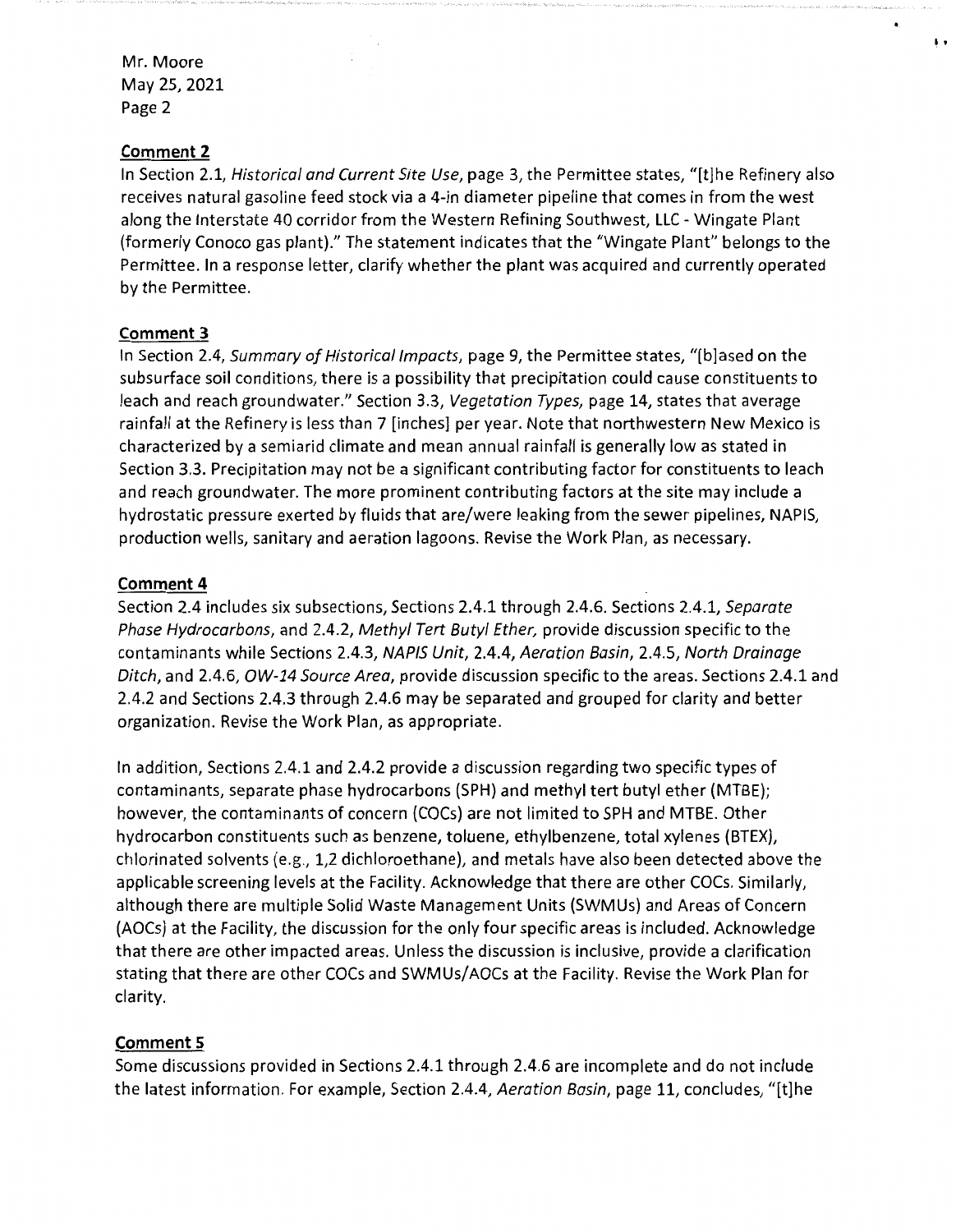#### **Comment 2**

In Section 2.1, Historical and Current Site Use, page 3, the Permittee states, "[t]he Refinery also receives natural gasoline feed stock via a 4-in diameter pipeline that comes in from the west along the Interstate 40 corridor from the Western Refining Southwest, LLC - Wingate Plant (formerly Conoco gas plant)." The statement indicates that the "Wingate Plant" belongs to the Permittee. In a response letter, clarify whether the plant was acquired and currently operated by the Permittee.

 $\ddot{\phantom{1}}$ 

## **Comment 3**

In Section 2.4, Summary of Historical Impacts, page 9, the Permittee states, "[b]ased on the subsurface soil conditions, there is a possibility that precipitation could cause constituents to leach and reach groundwater." Section 3.3, Vegetation Types, page 14, states that average rainfall at the Refinery is less than 7 [inches] per year. Note that northwestern New Mexico is characterized by a semiarid climate and mean annual rainfall is generally low as stated in Section 3.3. Precipitation may not be a significant contributing factor for constituents to leach and reach groundwater. The more prominent contributing factors at the site may include a hydrostatic pressure exerted by fluids that are/were leaking from the sewer pipelines, NAPIS, production wells, sanitary and aeration lagoons. Revise the Work Plan, as necessary.

## **Comment 4**

Section 2.4 includes six subsections, Sections 2.4.1 through 2.4.6. Sections 2.4.1, Separate Phase Hydrocarbons, and 2.4.2, Methyl Tert Butyl Ether, provide discussion specific to the contaminants while Sections 2.4.3, NAPIS Unit, 2.4.4, Aeration Basin, 2.4.5, North Drainage Ditch, and 2.4.6, OW-14 Source Area, provide discussion specific to the areas. Sections 2.4.1 and 2.4.2 and Sections 2.4.3 through 2.4.6 may be separated and grouped for clarity and better organization. Revise the Work Plan, as appropriate.

In addition, Sections 2.4.1 and 2.4.2 provide a discussion regarding two specific types of contaminants, separate phase hydrocarbons (SPH) and methyl tert butyl ether (MTBE); however, the contaminants of concern (COCs) are not limited to SPH and MTBE. Other hydrocarbon constituents such as benzene, toluene, ethylbenzene, total xylenes (BTEX), chlorinated solvents (e.g., 1,2 dichloroethane), and metals have also been detected above the applicable screening levels at the Facility. Acknowledge that there are other COCs. Similarly, although there are multiple Solid Waste Management Units (SWMUs) and Areas of Concern (AOCs) at the Facility, the discussion for the only four specific areas is included. Acknowledge that there are other impacted areas. Unless the discussion is inclusive, provide a clarification stating that there are other COCs and SWM Us/ AOCs at the Facility. Revise the Work Plan for clarity.

# **Comment 5**

Some discussions provided in Sections 2.4.1 through 2.4.6 are incomplete and do not include the latest information. For example, Section 2.4.4, Aeration Basin, page 11, concludes, "[t]he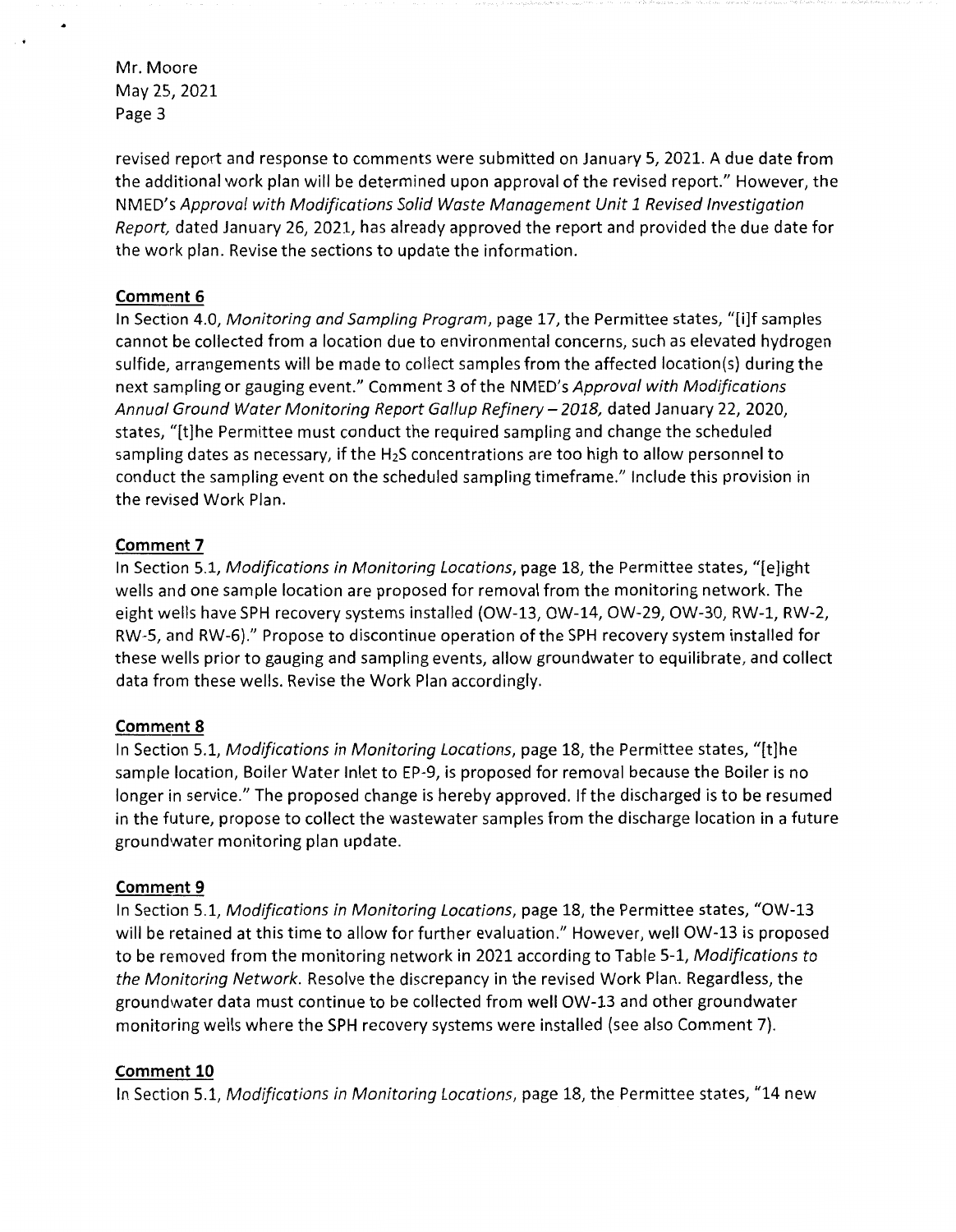revised report and response to comments were submitted on January 5, 2021. A due date from the additional work plan will be determined upon approval of the revised report." However, the NMED's *Approval with Modifications Solid Waste Management Unit 1 Revised Investigation Report,* dated January 26, 2021, has already approved the report and provided the due date for the work plan. Revise the sections to update the information.

#### **Comment 6**

In Section 4.0, *Monitoring and Sampling Program,* page 17, the Permittee states, "[i]f samples cannot be collected from a location due to environmental concerns, such as elevated hydrogen sulfide, arrangements will be made to collect samples from the affected location(s) during the next sampling or gauging event." Comment 3 of the NMED's *Approval with Modifications Annual Ground Water Monitoring Report Gallup Refinery-2018,* dated January 22, 2020, states, "[t]he Permittee must conduct the required sampling and change the scheduled sampling dates as necessary, if the  $H_2S$  concentrations are too high to allow personnel to conduct the sampling event on the scheduled sampling timeframe." Include this provision in the revised Work Plan.

#### **Comment 7**

In Section 5.1, *Modifications in Monitoring Locations,* page 18, the Permittee states, "[e]ight wells and one sample location are proposed for removal from the monitoring network. The eight wells have SPH recovery systems installed {OW-13, OW-14, OW-29, OW-30, RW-1, RW-2, RW-5, and RW-6)." Propose to discontinue operation of the SPH recovery system installed for these wells prior to gauging and sampling events, allow groundwater to equilibrate, and collect data from these wells. Revise the Work Plan accordingly.

#### **Comment 8**

In Section 5.1, *Modifications in Monitoring Locations,* page 18, the Permittee states, "[t]he sample location, Boiler Water Inlet to EP-9, is proposed for removal because the Boiler is no longer in service." The proposed change is hereby approved. If the discharged is to be resumed in the future, propose to collect the wastewater samples from the discharge location in a future groundwater monitoring plan update.

#### **Comment 9**

In Section 5.1, *Modifications in Monitoring Locations,* page 18, the Permittee states, "OW-13 will be retained at this time to allow for further evaluation." However, well OW-13 is proposed to be removed from the monitoring network in 2021 according to Table 5-1, *Modifications to the Monitoring Network.* Resolve the discrepancy in the revised Work Plan. Regardless, the groundwater data must continue to be collected from well OW-13 and other groundwater monitoring wells where the SPH recovery systems were installed (see also Comment 7).

#### **Comment 10**

In Section 5.1, *Modifications in Monitoring Locations,* page 18, the Permittee states, "14 new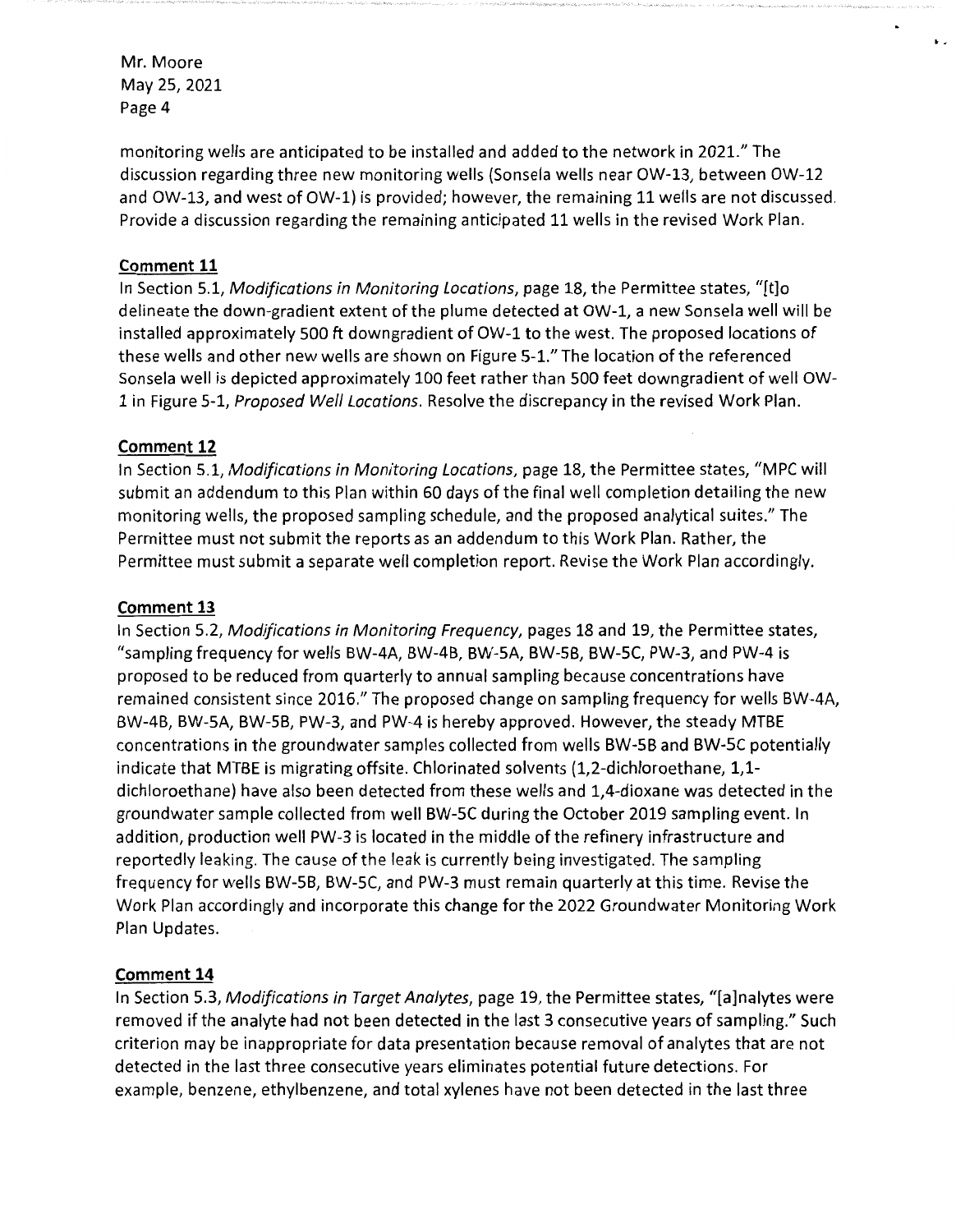monitoring wells are anticipated to be installed and added to the network in 2021." The discussion regarding three new monitoring wells (Sonsela wells near OW-13, between OW-12 and OW-13, and west of OW-1) is provided; however, the remaining 11 wells are not discussed. Provide a discussion regarding the remaining anticipated 11 wells in the revised Work Plan.

..

#### **Comment 11**

In Section 5.1, Modifications in Monitoring Locations, page 18, the Permittee states, "[t]o delineate the down-gradient extent of the plume detected at OW-1, a new Sonsela well will be installed approximately 500 ft downgradient of OW-1 to the west. The proposed locations of these wells and other new wells are shown on Figure 5-1." The location of the referenced Sonsela well is depicted approximately 100 feet rather than 500 feet downgradient of well OW-1 in Figure 5-1, Proposed Well Locations. Resolve the discrepancy in the revised Work Plan.

## **Comment 12**

In Section 5.1, Modifications in Monitoring Locations, page 18, the Permittee states, "MPC will submit an addendum to this Plan within 60 days of the final well completion detailing the new monitoring wells, the proposed sampling schedule, and the proposed analytical suites." The Permittee must not submit the reports as an addendum to this Work Plan. Rather, the Permittee must submit a separate well completion report. Revise the Work Plan accordingly.

#### **Comment 13**

In Section 5.2, Modifications in Monitoring Frequency, pages 18 and 19, the Permittee states, "sampling frequency for wells BW-4A, BW-4B, BW-5A, BW-5B, BW-5C, PW-3, and PW-4 is proposed to be reduced from quarterly to annual sampling because concentrations have remained consistent since 2016." The proposed change on sampling frequency for wells BW-4A, BW-4B, BW-5A, BW-5B, PW-3, and PW-4 is hereby approved. However, the steady MTBE concentrations in the groundwater samples collected from wells BW-5B and BW-SC potentially indicate that MTBE is migrating offsite. Chlorinated solvents (1,2-dichloroethane, 1,1 dichloroethane) have also been detected from these wells and 1,4-dioxane was detected in the groundwater sample collected from well BW-5C during the October 2019 sampling event. In addition, production well PW-3 is located in the middle of the refinery infrastructure and reportedly leaking. The cause of the leak is currently being investigated. The sampling frequency for wells BW-5B, BW-5C, and PW-3 must remain quarterly at this time. Revise the Work Plan accordingly and incorporate this change for the 2022 Groundwater Monitoring Work Plan Updates.

# **Comment 14**

In Section 5.3, Modifications in Target Analytes, page 19, the Permittee states, "[a]nalytes were removed if the analyte had not been detected in the last 3 consecutive years of sampling." Such criterion may be inappropriate for data presentation because removal of analytes that are not detected in the last three consecutive years eliminates potential future detections. For example, benzene, ethylbenzene, and total xylenes have not been detected in the last three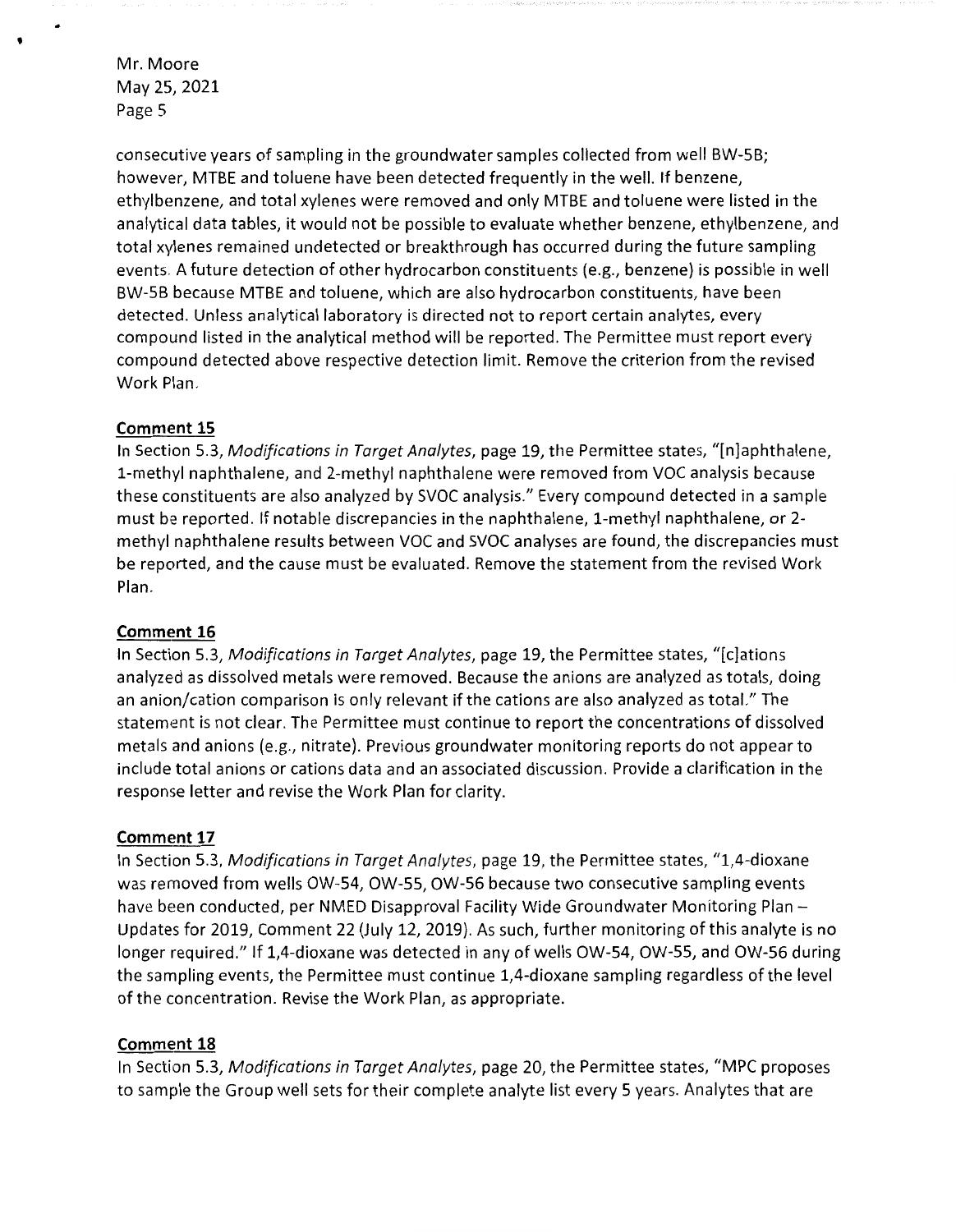'

consecutive years of sampling in the groundwater samples collected from well BW-58; however, MTBE and toluene have been detected frequently in the well. If benzene, ethylbenzene, and total xylenes were removed and only MTBE and toluene were listed in the analytical data tables, it would not be possible to evaluate whether benzene, ethylbenzene, and total xylenes remained undetected or breakthrough has occurred during the future sampling events. A future detection of other hydrocarbon constituents (e.g., benzene) is possible in well BW-58 because MTBE and toluene, which are also hydrocarbon constituents, have been detected. Unless analytical laboratory is directed not to report certain analytes, every compound listed in the analytical method will be reported. The Permittee must report every compound detected above respective detection limit. Remove the criterion from the revised Work Plan.

#### **Comment 15**

In Section 5.3, *Modifications in Target Analytes,* page 19, the Permittee states, "[n]aphthalene, 1-methyl naphthalene, and 2-methyl naphthalene were removed from VOC analysis because these constituents are also analyzed by SVOC analysis." Every compound detected in a sample must be reported. If notable discrepancies in the naphthalene, 1-methyl naphthalene, or 2 methyl naphthalene results between VOC and SVOC analyses are found, the discrepancies must be reported, and the cause must be evaluated. Remove the statement from the revised Work Plan.

#### **Comment 16**

In Section 5.3, *Modifications in Target Ana!ytes,* page 19, the Permittee states, "[c]ations analyzed as dissolved metals were removed. Because the anions are analyzed as totals, doing an anion/cation comparison is only relevant if the cations are also analyzed as total." The statement is not clear. The Permittee must continue to report the concentrations of dissolved metals and anions (e.g., nitrate). Previous groundwater monitoring reports do not appear to include total anions or cations data and an associated discussion. Provide a clarification in the response letter and revise the Work Plan for clarity.

# **Comment 17**

In Section 5.3, *Modifications in Target Ana!ytes,* page 19, the Permittee states, "1,4-dioxane was removed from wells OW-54, OW-55, OW-56 because two consecutive sampling events have been conducted, per NMED Disapproval Facility Wide Groundwater Monitoring Plan -Updates for 2019, Comment 22 (July 12, 2019}. As such, further monitoring of this analyte is no longer required." If 1,4-dioxane was detected in any of wells OW-54, OW-55, and OW-56 during the sampling events, the Permittee must continue 1,4-dioxane sampling regardless of the level of the concentration. Revise the Work Plan, as appropriate.

# **Comment 18**

In Section 5.3, *Modifications in Target Ana!ytes,* page 20, the Permittee states, "MPC proposes to sample the Group well sets for their complete analyte list every 5 years. Analytes that are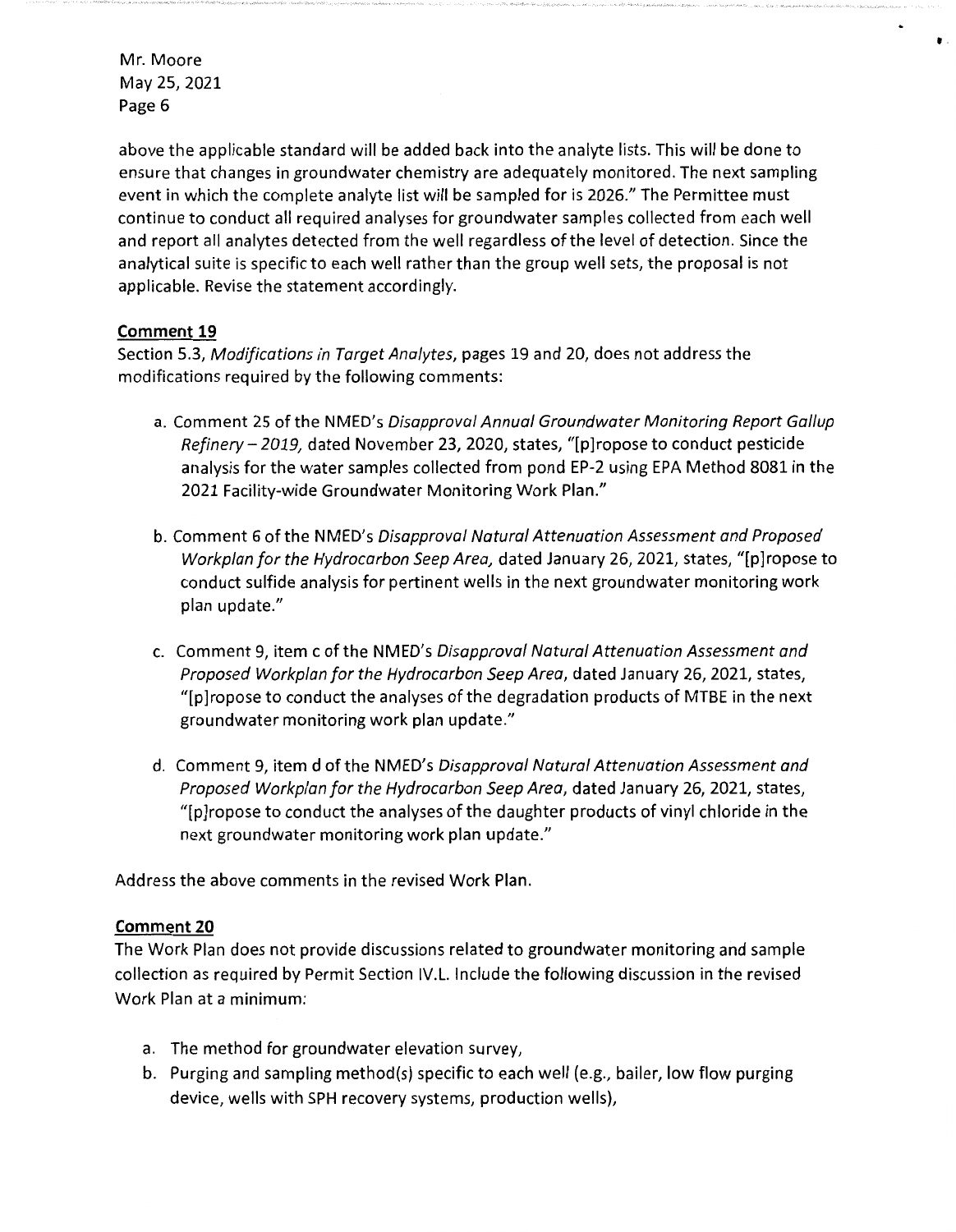above the applicable standard will be added back into the analyte lists. This will be done to ensure that changes in groundwater chemistry are adequately monitored. The next sampling event in which the complete analyte list will be sampled for is 2026." The Permittee must continue to conduct all required analyses for groundwater samples collected from each well and report all analytes detected from the well regardless of the level of detection. Since the analytical suite is specific to each well rather than the group well sets, the proposal is not applicable. Revise the statement accordingly.

•

## **Comment 19**

Section 5.3, Modifications in Target Analytes, pages 19 and 20, does not address the modifications required by the following comments:

- a. Comment 25 of the NMED's Disapproval Annual Groundwater Monitoring Report Gallup Refinery-2019, dated November 23, 2020, states, "[p]ropose to conduct pesticide analysis for the water samples collected from pond EP-2 using EPA Method 8081 in the 2021 Facility-wide Groundwater Monitoring Work Plan."
- b. Comment 6 of the NMED's Disapproval Natural Attenuation Assessment and Proposed Workplan for the Hydrocarbon Seep Area, dated January 26, 2021, states, "[p]ropose to conduct sulfide analysis for pertinent wells in the next groundwater monitoring work plan update."
- c. Comment 9, item c of the NMED's Disapproval Natural Attenuation Assessment and Proposed Workplan for the Hydrocarbon Seep Area, dated January 26, 2021, states, "[p]ropose to conduct the analyses of the degradation products of MTBE in the next groundwater monitoring work plan update."
- d. Comment 9, item d of the NMED's Disapproval Natural Attenuation Assessment and Proposed Workplan for the Hydrocarbon Seep Area, dated January 26, 2021, states, "[p]ropose to conduct the analyses of the daughter products of vinyl chloride in the next groundwater monitoring work plan update."

Address the above comments in the revised Work Plan.

#### **Comment 20**

The Work Plan does not provide discussions related to groundwater monitoring and sample collection as required by Permit Section IV.L. Include the following discussion in the revised Work Plan at a minimum:

- a. The method for groundwater elevation survey,
- b. Purging and sampling method(s) specific to each well (e.g., bailer, low flow purging device, wells with SPH recovery systems, production wells),